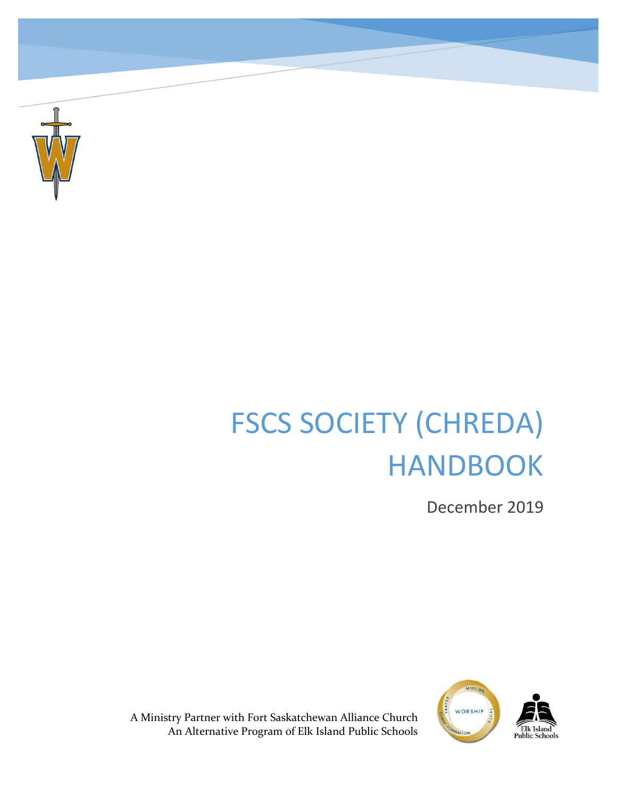

# FSCS SOCIETY (CHREDA) HANDBOOK

December 2019



A Ministry Partner with Fort Saskatchewan Alliance Church An Alternative Program of Elk Island Public Schools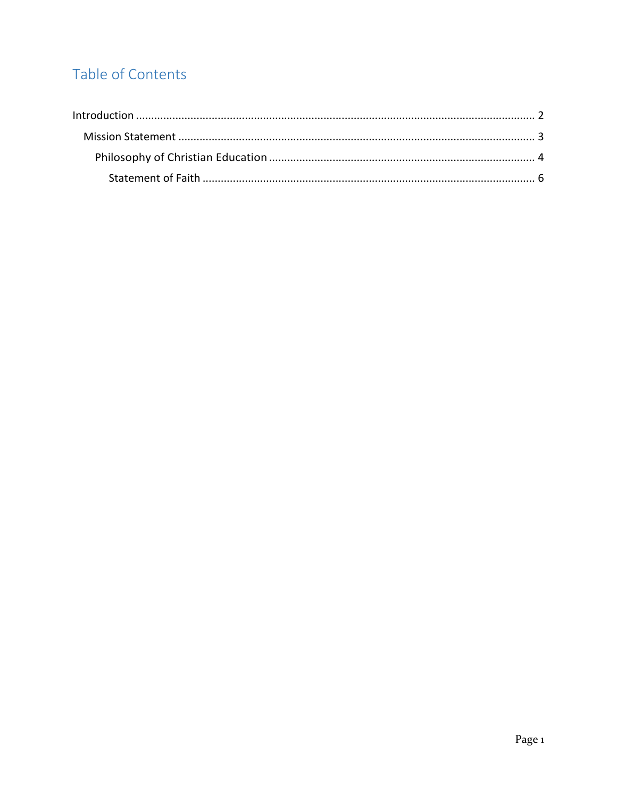# Table of Contents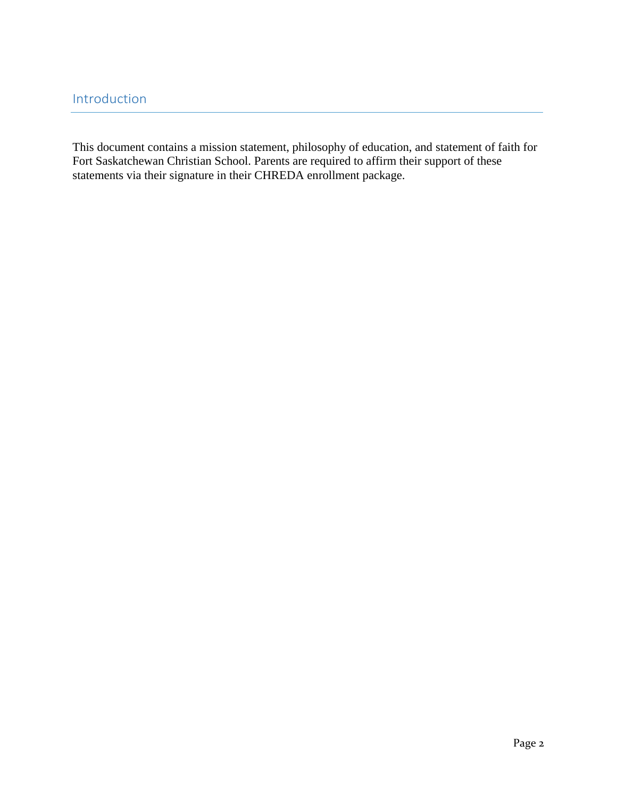This document contains a mission statement, philosophy of education, and statement of faith for Fort Saskatchewan Christian School. Parents are required to affirm their support of these statements via their signature in their CHREDA enrollment package.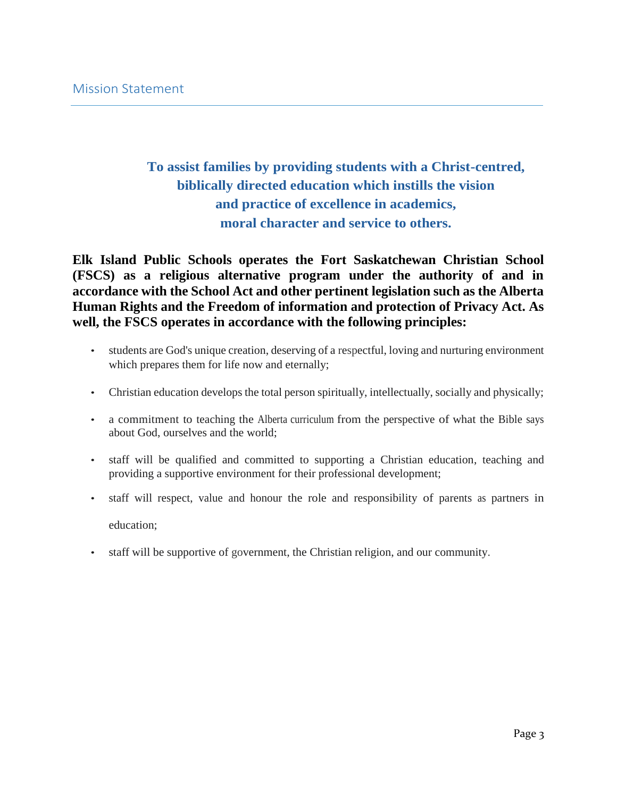# **To assist families by providing students with a Christ-centred, biblically directed education which instills the vision and practice of excellence in academics, moral character and service to others.**

**Elk Island Public Schools operates the Fort Saskatchewan Christian School (FSCS) as a religious alternative program under the authority of and in accordance with the School Act and other pertinent legislation such as the Alberta Human Rights and the Freedom of information and protection of Privacy Act. As well, the FSCS operates in accordance with the following principles:**

- students are God's unique creation, deserving of a respectful, loving and nurturing environment which prepares them for life now and eternally;
- Christian education develops the total person spiritually, intellectually, socially and physically;
- a commitment to teaching the Alberta curriculum from the perspective of what the Bible says about God, ourselves and the world;
- staff will be qualified and committed to supporting a Christian education, teaching and providing a supportive environment for their professional development;
- staff will respect, value and honour the role and responsibility of parents as partners in education;
- staff will be supportive of government, the Christian religion, and our community.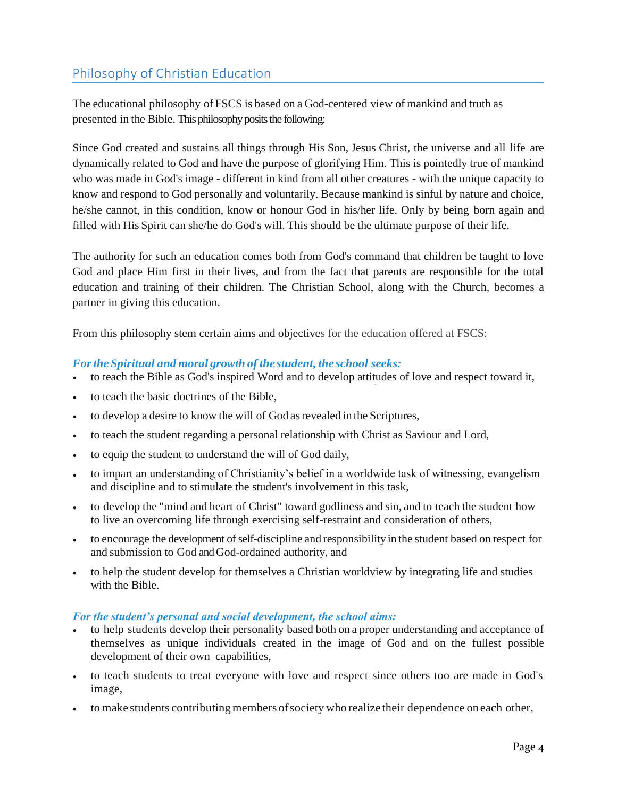## Philosophy of Christian Education

The educational philosophy of FSCS is based on a God-centered view of mankind and truth as presented in the Bible. This philosophy posits the following:

Since God created and sustains all things through His Son, Jesus Christ, the universe and all life are dynamically related to God and have the purpose of glorifying Him. This is pointedly true of mankind who was made in God's image - different in kind from all other creatures - with the unique capacity to know and respond to God personally and voluntarily. Because mankind is sinful by nature and choice, he/she cannot, in this condition, know or honour God in his/her life. Only by being born again and filled with His Spirit can she/he do God's will. This should be the ultimate purpose of their life.

The authority for such an education comes both from God's command that children be taught to love God and place Him first in their lives, and from the fact that parents are responsible for the total education and training of their children. The Christian School, along with the Church, becomes a partner in giving this education.

From this philosophy stem certain aims and objectives for the education offered at FSCS:

#### *Forthe Spiritual and moral growth of the student, the school seeks:*

- to teach the Bible as God's inspired Word and to develop attitudes of love and respect toward it,
- to teach the basic doctrines of the Bible,
- to develop a desire to know the will of God asrevealed in the Scriptures,
- to teach the student regarding a personal relationship with Christ as Saviour and Lord,
- to equip the student to understand the will of God daily,
- to impart an understanding of Christianity's belief in a worldwide task of witnessing, evangelism and discipline and to stimulate the student's involvement in this task,
- to develop the "mind and heart of Christ" toward godliness and sin, and to teach the student how to live an overcoming life through exercising self-restraint and consideration of others,
- to encourage the development of self-discipline and responsibilityin the student based on respect for and submission to God and God-ordained authority, and
- to help the student develop for themselves a Christian worldview by integrating life and studies with the Bible.

#### *For the student's personal and social development, the school aims:*

- to help students develop their personality based both on a proper understanding and acceptance of themselves as unique individuals created in the image of God and on the fullest possible development of their own capabilities,
- to teach students to treat everyone with love and respect since others too are made in God's image,
- to make students contributing members of society who realize their dependence on each other,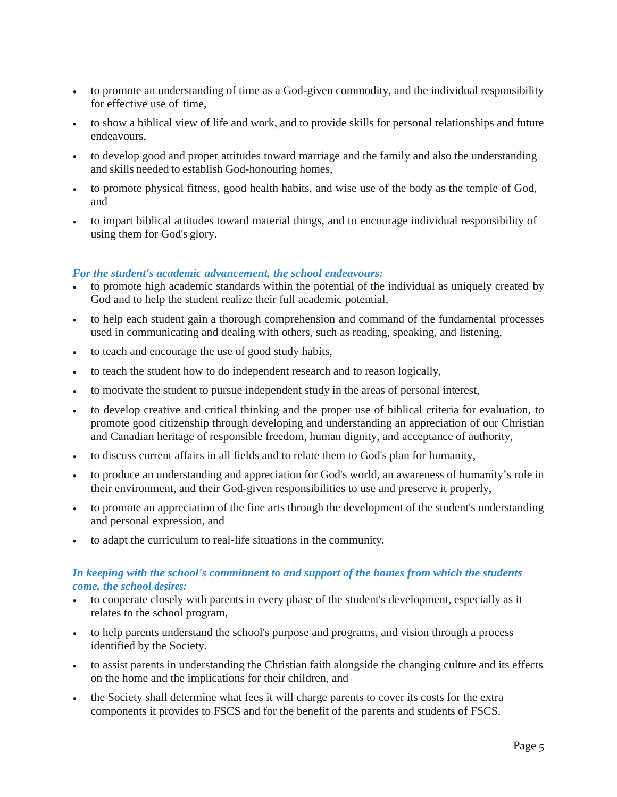- to promote an understanding of time as a God-given commodity, and the individual responsibility for effective use of time,
- to show a biblical view of life and work, and to provide skills for personal relationships and future endeavours,
- to develop good and proper attitudes toward marriage and the family and also the understanding and skills needed to establish God-honouring homes,
- to promote physical fitness, good health habits, and wise use of the body as the temple of God, and
- to impart biblical attitudes toward material things, and to encourage individual responsibility of using them for God's glory.

#### *For the student's academic advancement, the school endeavours:*

- to promote high academic standards within the potential of the individual as uniquely created by God and to help the student realize their full academic potential,
- to help each student gain a thorough comprehension and command of the fundamental processes used in communicating and dealing with others, such as reading, speaking, and listening,
- to teach and encourage the use of good study habits,
- to teach the student how to do independent research and to reason logically,
- to motivate the student to pursue independent study in the areas of personal interest,
- to develop creative and critical thinking and the proper use of biblical criteria for evaluation, to promote good citizenship through developing and understanding an appreciation of our Christian and Canadian heritage of responsible freedom, human dignity, and acceptance of authority,
- to discuss current affairs in all fields and to relate them to God's plan for humanity,
- to produce an understanding and appreciation for God's world, an awareness of humanity's role in their environment, and their God-given responsibilities to use and preserve it properly,
- to promote an appreciation of the fine arts through the development of the student's understanding and personal expression, and
- to adapt the curriculum to real-life situations in the community.

#### *In keeping with the school's commitment to and support of the homes from which the students come, the school desires:*

- to cooperate closely with parents in every phase of the student's development, especially as it relates to the school program,
- to help parents understand the school's purpose and programs, and vision through a process identified by the Society.
- to assist parents in understanding the Christian faith alongside the changing culture and its effects on the home and the implications for their children, and
- the Society shall determine what fees it will charge parents to cover its costs for the extra components it provides to FSCS and for the benefit of the parents and students of FSCS.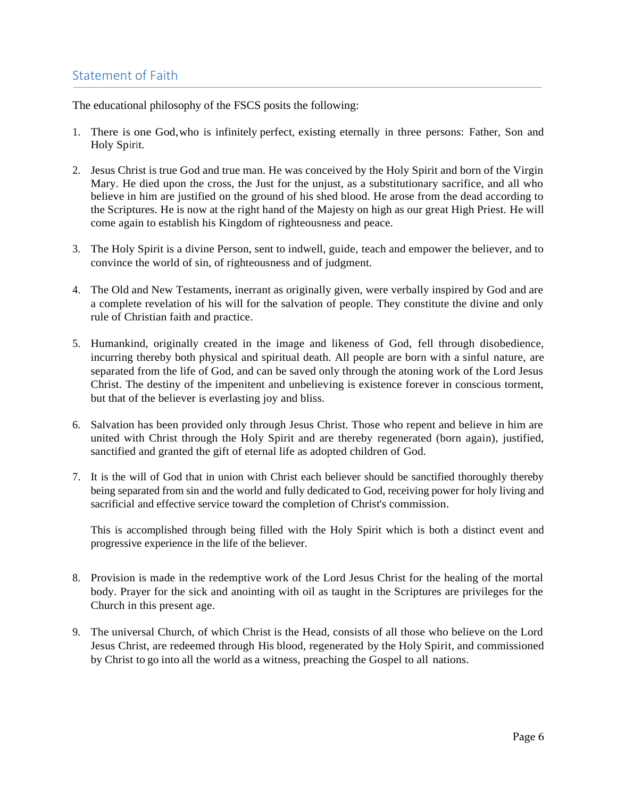### Statement of Faith

The educational philosophy of the FSCS posits the following:

- 1. There is one God,who is infinitely perfect, existing eternally in three persons: Father, Son and Holy Spirit.
- 2. Jesus Christ is true God and true man. He was conceived by the Holy Spirit and born of the Virgin Mary. He died upon the cross, the Just for the unjust, as a substitutionary sacrifice, and all who believe in him are justified on the ground of his shed blood. He arose from the dead according to the Scriptures. He is now at the right hand of the Majesty on high as our great High Priest. He will come again to establish his Kingdom of righteousness and peace.
- 3. The Holy Spirit is a divine Person, sent to indwell, guide, teach and empower the believer, and to convince the world of sin, of righteousness and of judgment.
- 4. The Old and New Testaments, inerrant as originally given, were verbally inspired by God and are a complete revelation of his will for the salvation of people. They constitute the divine and only rule of Christian faith and practice.
- 5. Humankind, originally created in the image and likeness of God, fell through disobedience, incurring thereby both physical and spiritual death. All people are born with a sinful nature, are separated from the life of God, and can be saved only through the atoning work of the Lord Jesus Christ. The destiny of the impenitent and unbelieving is existence forever in conscious torment, but that of the believer is everlasting joy and bliss.
- 6. Salvation has been provided only through Jesus Christ. Those who repent and believe in him are united with Christ through the Holy Spirit and are thereby regenerated (born again), justified, sanctified and granted the gift of eternal life as adopted children of God.
- 7. It is the will of God that in union with Christ each believer should be sanctified thoroughly thereby being separated from sin and the world and fully dedicated to God, receiving power for holy living and sacrificial and effective service toward the completion of Christ's commission.

This is accomplished through being filled with the Holy Spirit which is both a distinct event and progressive experience in the life of the believer.

- 8. Provision is made in the redemptive work of the Lord Jesus Christ for the healing of the mortal body. Prayer for the sick and anointing with oil as taught in the Scriptures are privileges for the Church in this present age.
- 9. The universal Church, of which Christ is the Head, consists of all those who believe on the Lord Jesus Christ, are redeemed through His blood, regenerated by the Holy Spirit, and commissioned by Christ to go into all the world as a witness, preaching the Gospel to all nations.